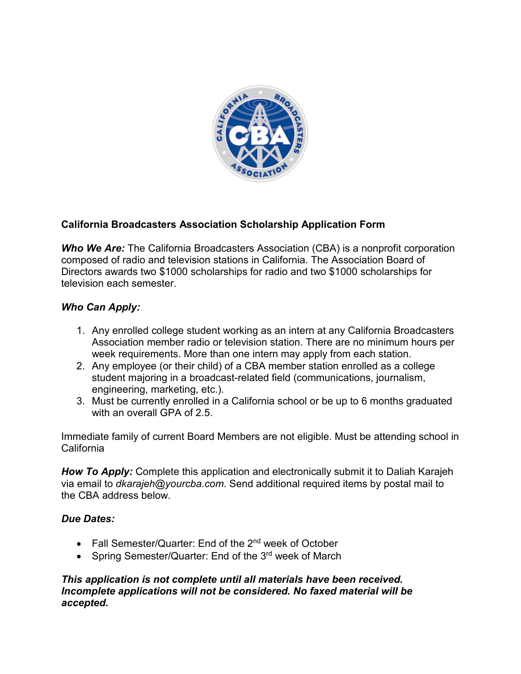

# **California Broadcasters Association Scholarship Application Form**

**Who We Are:** The California Broadcasters Association (CBA) is a nonprofit corporation composed of radio and television stations in California. The Association Board of Directors awards two \$1000 scholarships for radio and two \$1000 scholarships for television each semester.

## *Who Can Apply:*

- 1. Any enrolled college student working as an intern at any California Broadcasters Association member radio or television station. There are no minimum hours per week requirements. More than one intern may apply from each station.
- 2. Any employee (or their child) of a CBA member station enrolled as a college student majoring in a broadcast-related field (communications, journalism, engineering, marketing, etc.).
- 3. Must be currently enrolled in a California school or be up to 6 months graduated with an overall GPA of 2.5

Immediate family of current Board Members are not eligible. Must be attending school in California

*How To Apply:* Complete this application and electronically submit it to Daliah Karajeh via email to *dkarajeh@yourcba.com*. Send additional required items by postal mail to the CBA address below.

### *Due Dates:*

- Fall Semester/Quarter: End of the 2<sup>nd</sup> week of October
- Spring Semester/Quarter: End of the 3<sup>rd</sup> week of March

### *This application is not complete until all materials have been received. Incomplete applications will not be considered. No faxed material will be accepted.*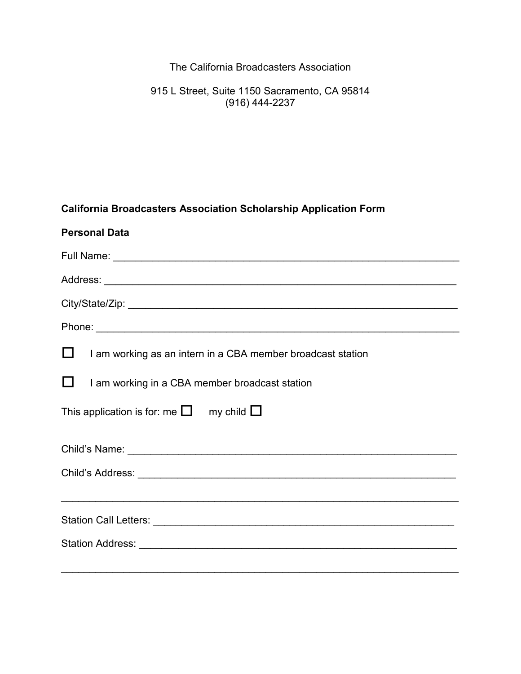The California Broadcasters Association

915 L Street, Suite 1150 Sacramento, CA 95814 (916) 444-2237

# **California Broadcasters Association Scholarship Application Form**

| <b>Personal Data</b>                                                              |  |  |  |  |
|-----------------------------------------------------------------------------------|--|--|--|--|
|                                                                                   |  |  |  |  |
|                                                                                   |  |  |  |  |
|                                                                                   |  |  |  |  |
|                                                                                   |  |  |  |  |
| Ш<br>I am working as an intern in a CBA member broadcast station                  |  |  |  |  |
| I am working in a CBA member broadcast station                                    |  |  |  |  |
| This application is for: me $\square$ my child $\square$                          |  |  |  |  |
|                                                                                   |  |  |  |  |
|                                                                                   |  |  |  |  |
| ,我们也不能在这里的人,我们也不能在这里的人,我们也不能在这里的人,我们也不能在这里的人,我们也不能在这里的人,我们也不能在这里的人,我们也不能在这里的人,我们也 |  |  |  |  |
|                                                                                   |  |  |  |  |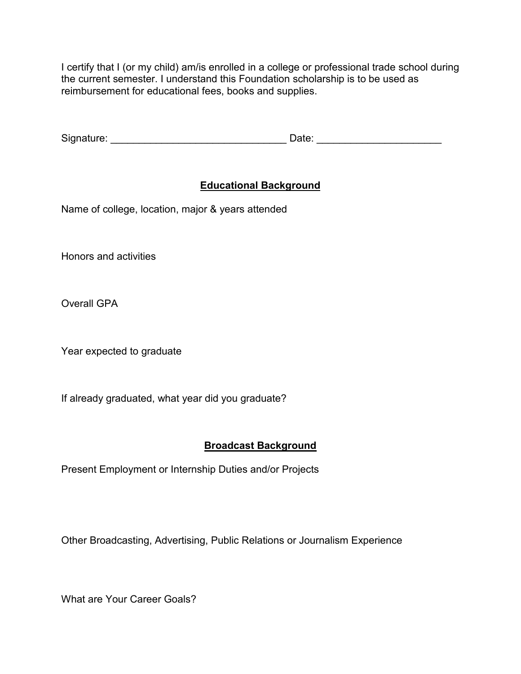I certify that I (or my child) am/is enrolled in a college or professional trade school during the current semester. I understand this Foundation scholarship is to be used as reimbursement for educational fees, books and supplies.

| Signature: | .<br>∵≀ate. |  |
|------------|-------------|--|
|            |             |  |

# **Educational Background**

Name of college, location, major & years attended

Honors and activities

Overall GPA

Year expected to graduate

If already graduated, what year did you graduate?

### **Broadcast Background**

Present Employment or Internship Duties and/or Projects

Other Broadcasting, Advertising, Public Relations or Journalism Experience

What are Your Career Goals?